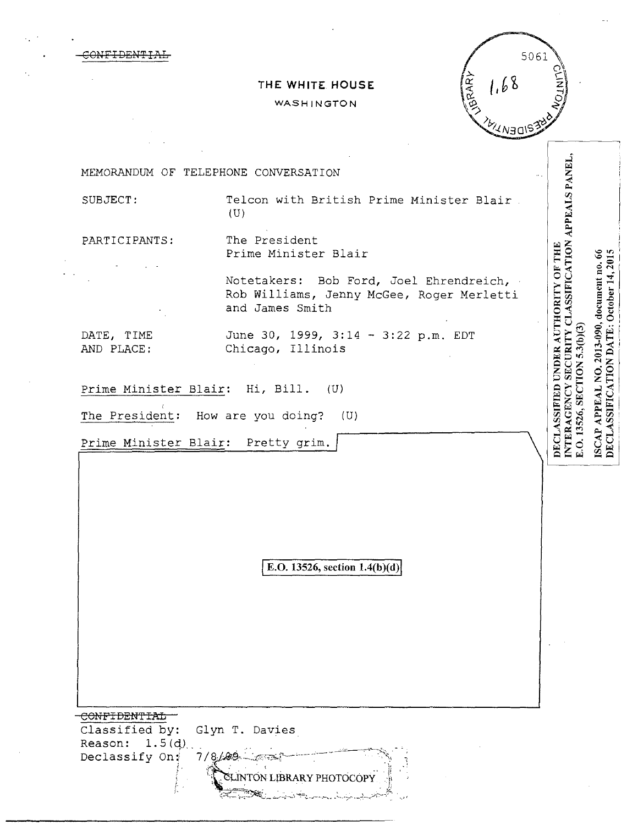|                          | 1.68<br>THE WHITE HOUSE                                                                                 |                                                                            |
|--------------------------|---------------------------------------------------------------------------------------------------------|----------------------------------------------------------------------------|
|                          | <b>TORARY</b><br>WASHINGTON                                                                             |                                                                            |
|                          | DENYY                                                                                                   |                                                                            |
|                          |                                                                                                         |                                                                            |
|                          | MEMORANDUM OF TELEPHONE CONVERSATION                                                                    |                                                                            |
| SUBJECT:                 | Telcon with British Prime Minister Blair.<br>(U)                                                        | APPEALS PANEL,                                                             |
| PARTICIPANTS:            | The President<br>Prime Minister Blair                                                                   |                                                                            |
|                          | Notetakers: Bob Ford, Joel Ehrendreich,<br>Rob Williams, Jenny McGee, Roger Merletti<br>and James Smith | INTERAGENCY SECURITY CLASSIFICATION<br>DECLASSIFIED UNDER AUTHORITY OF THE |
| DATE, TIME<br>AND PLACE: | June 30, 1999, 3:14 - 3:22 p.m. EDT<br>Chicago, Illinois                                                | E.O. 13526, SECTION 5.3(b)(3)                                              |
|                          | Prime Minister Blair: Pretty grim.                                                                      |                                                                            |
|                          | E.O. 13526, section 1.4(b)(d)                                                                           |                                                                            |
|                          |                                                                                                         |                                                                            |
|                          |                                                                                                         |                                                                            |

 $\label{eq:2.1} \frac{1}{\sqrt{2}}\sum_{i=1}^n\frac{1}{\sqrt{2}}\sum_{i=1}^n\frac{1}{\sqrt{2}}\sum_{i=1}^n\frac{1}{\sqrt{2}}\sum_{i=1}^n\frac{1}{\sqrt{2}}\sum_{i=1}^n\frac{1}{\sqrt{2}}\sum_{i=1}^n\frac{1}{\sqrt{2}}\sum_{i=1}^n\frac{1}{\sqrt{2}}\sum_{i=1}^n\frac{1}{\sqrt{2}}\sum_{i=1}^n\frac{1}{\sqrt{2}}\sum_{i=1}^n\frac{1}{\sqrt{2}}\sum_{i=1}^n\frac$ 

المالي المجموعي المراجع المراجع المراجع المراجع المراجع المراجع المراجع المراجع المراجع المراجع المراجع المراجع

 $\sim 10^{-1}$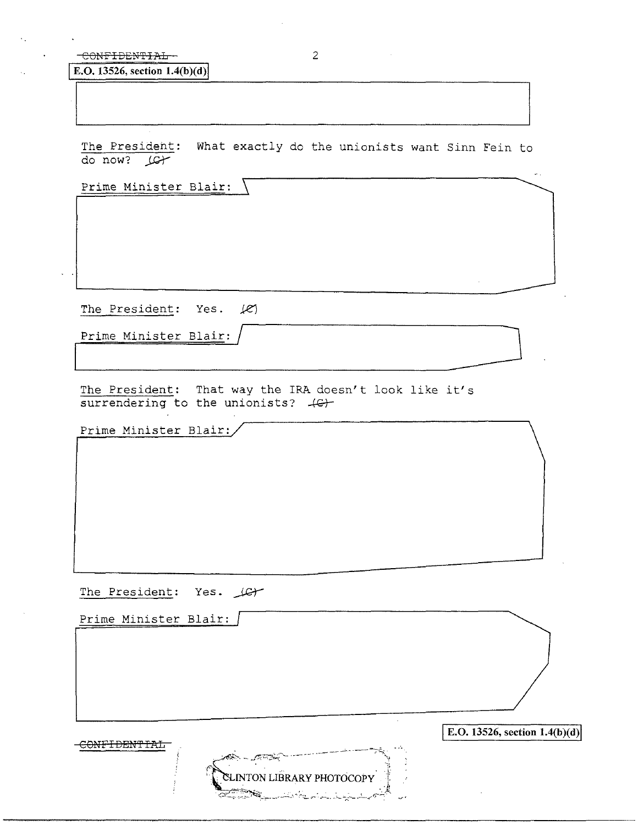## CONFIDENTIAL 2

**E.O.** 13526, section 1.4(b)(d)

The President: What exactly do the unionists want Sinn Fein to do now? LG+

Prime Minister Blair:

The President: Yes.  $|e\rangle$ The President: Yes. (2)<br>Prime Minister Blair:<br>The President: That was the IPA decay to lack like its

Prime Minister Blair:

The President: That way the IRA doesn't look like it's  $s$ urrendering to the unionists?  $4<sup>2</sup>$ 

Prime Minister Blair:

The President: Yes. LG+

Prime Minister Blair: E.O. 13526, section 1.4(b)(d) CONFIDENTIAL ್ರಗಳಾ **INTON LIBRARY PHOTOCOPY**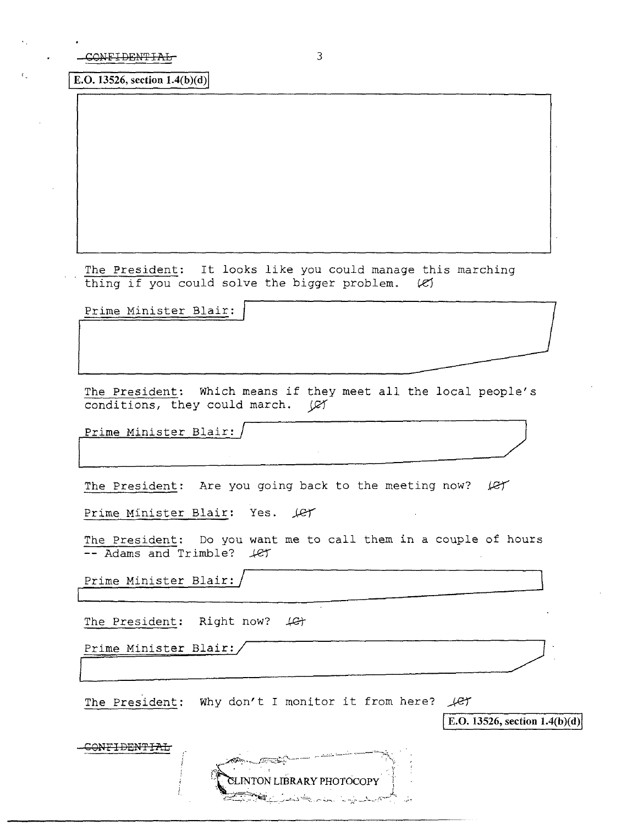**E.O.** 13526, section  $1.4(b)(d)$ 

The President: It looks like you could manage this marching thing if you could solve the bigger problem.  $(2)$ 

Prime Minister Blair:

The President: Which means if they meet all the local people's conditions, they could march.  $\varnothing$ 

Prime Minister Blair: / ~

I

 $\overline{\text{conv}}$ 

The President: Are you going back to the meeting now? *Jet* 

Prime Minister Blair: Yes. Let

The President: Do you want me to call them in a couple of hours -- Adams and Trimble?  $\angle$ et

Prime Minister Blair:  $\Box$ 

The President: Right now?  $\downarrow$ G $\uparrow$ 

Prime Minister Blair:/ ~

The President: Why don't I monitor it from here?  $\mathcal{L}$ 

**E.O. 13526, section 1.4(b)(d)** 

|  | $G = 1$                          |  |
|--|----------------------------------|--|
|  | <b>ELINTON LIBRARY PHOTOCOPY</b> |  |
|  | المراجفة وللمل<br>ಎಂ. ಎಸ್.ಎ.ಎಕ್. |  |